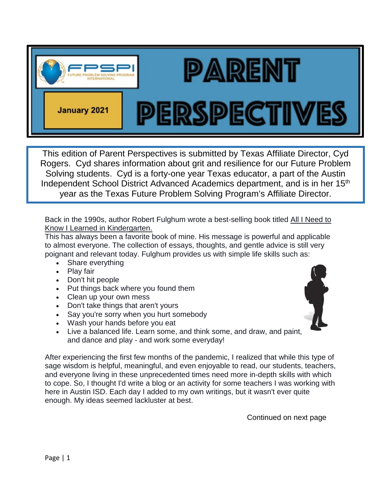

This edition of Parent Perspectives is submitted by Texas Affiliate Director, Cyd Rogers. Cyd shares information about grit and resilience for our Future Problem Solving students. Cyd is a forty-one year Texas educator, a part of the Austin Independent School District Advanced Academics department, and is in her 15<sup>th</sup> year as the Texas Future Problem Solving Program's Affiliate Director.

Back in the 1990s, author Robert Fulghum wrote a best-selling book titled All I Need to Know I Learned in Kindergarten.

This has always been a favorite book of mine. His message is powerful and applicable to almost everyone. The collection of essays, thoughts, and gentle advice is still very poignant and relevant today. Fulghum provides us with simple life skills such as:

- Share everything
- Play fair
- Don't hit people
- Put things back where you found them
- Clean up your own mess
- Don't take things that aren't yours
- Say you're sorry when you hurt somebody
- Wash your hands before you eat
- Live a balanced life. Learn some, and think some, and draw, and paint, and dance and play - and work some everyday!

After experiencing the first few months of the pandemic, I realized that while this type of sage wisdom is helpful, meaningful, and even enjoyable to read, our students, teachers, and everyone living in these unprecedented times need more in-depth skills with which to cope. So, I thought I'd write a blog or an activity for some teachers I was working with here in Austin ISD. Each day I added to my own writings, but it wasn't ever quite enough. My ideas seemed lackluster at best.

Continued on next page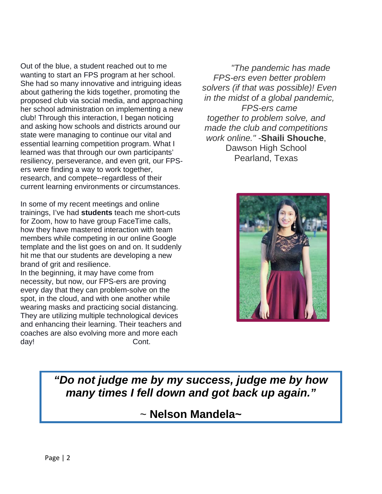Out of the blue, a student reached out to me wanting to start an FPS program at her school. She had so many innovative and intriguing ideas about gathering the kids together, promoting the proposed club via social media, and approaching her school administration on implementing a new club! Through this interaction, I began noticing and asking how schools and districts around our state were managing to continue our vital and essential learning competition program. What I learned was that through our own participants' resiliency, perseverance, and even grit, our FPSers were finding a way to work together, research, and compete--regardless of their current learning environments or circumstances.

In some of my recent meetings and online trainings, I've had **students** teach me short-cuts for Zoom, how to have group FaceTime calls, how they have mastered interaction with team members while competing in our online Google template and the list goes on and on. It suddenly hit me that our students are developing a new brand of grit and resilience.

In the beginning, it may have come from necessity, but now, our FPS-ers are proving every day that they can problem-solve on the spot, in the cloud, and with one another while wearing masks and practicing social distancing. They are utilizing multiple technological devices and enhancing their learning. Their teachers and coaches are also evolving more and more each day! Cont.

*"The pandemic has made FPS-ers even better problem solvers (if that was possible)! Even in the midst of a global pandemic, FPS-ers came together to problem solve, and made the club and competitions work online."* -**Shaili Shouche**, Dawson High School Pearland, Texas



*"Do not judge me by my success, judge me by how many times I fell down and got back up again."*

~ **Nelson Mandela~**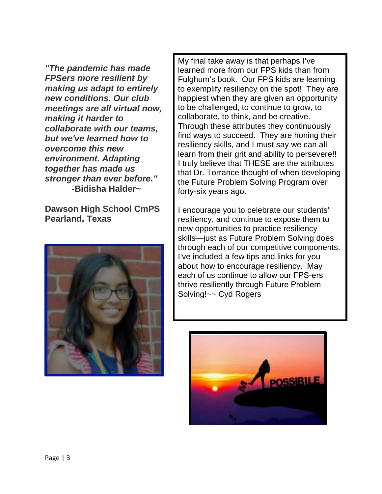*"The pandemic has made FPSers more resilient by making us adapt to entirely new conditions. Our club meetings are all virtual now, making it harder to collaborate with our teams, but we've learned how to overcome this new environment. Adapting together has made us stronger than ever before."*  **-Bidisha Halder~** 

**Dawson High School CmPS Pearland, Texas**



My final take away is that perhaps I've learned more from our FPS kids than from Fulghum's book. Our FPS kids are learning to exemplify resiliency on the spot! They are happiest when they are given an opportunity to be challenged, to continue to grow, to collaborate, to think, and be creative. Through these attributes they continuously find ways to succeed. They are honing their resiliency skills, and I must say we can all learn from their grit and ability to persevere!! I truly believe that THESE are the attributes that Dr. Torrance thought of when developing the Future Problem Solving Program over forty-six years ago.

I encourage you to celebrate our students' resiliency, and continue to expose them to new opportunities to practice resiliency skills—just as Future Problem Solving does through each of our competitive components. I've included a few tips and links for you about how to encourage resiliency. May each of us continue to allow our FPS-ers thrive resiliently through Future Problem Solving!~~ Cyd Rogers

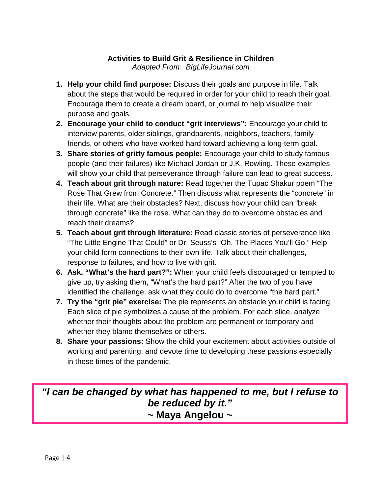## **Activities to Build Grit & Resilience in Children**

*Adapted From: BigLifeJournal.com*

- **1. Help your child find purpose:** Discuss their goals and purpose in life. Talk about the steps that would be required in order for your child to reach their goal. Encourage them to create a dream board, or journal to help visualize their purpose and goals.
- **2. Encourage your child to conduct "grit interviews":** Encourage your child to interview parents, older siblings, grandparents, neighbors, teachers, family friends, or others who have worked hard toward achieving a long-term goal.
- **3. Share stories of gritty famous people:** Encourage your child to study famous people (and their failures) like Michael Jordan or J.K. Rowling. These examples will show your child that perseverance through failure can lead to great success.
- **4. Teach about grit through nature:** Read together the Tupac Shakur poem "The Rose That Grew from Concrete." Then discuss what represents the "concrete" in their life. What are their obstacles? Next, discuss how your child can "break through concrete" like the rose. What can they do to overcome obstacles and reach their dreams?
- **5. Teach about grit through literature:** Read classic stories of perseverance like "The Little Engine That Could" or Dr. Seuss's "Oh, The Places You'll Go." Help your child form connections to their own life. Talk about their challenges, response to failures, and how to live with grit.
- **6. Ask, "What's the hard part?":** When your child feels discouraged or tempted to give up, try asking them, "What's the hard part?" After the two of you have identified the challenge, ask what they could do to overcome "the hard part."
- **7. Try the "grit pie" exercise:** The pie represents an obstacle your child is facing. Each slice of pie symbolizes a cause of the problem. For each slice, analyze whether their thoughts about the problem are permanent or temporary and whether they blame themselves or others.
- **8. Share your passions:** Show the child your excitement about activities outside of working and parenting, and devote time to developing these passions especially in these times of the pandemic.

*"I can be changed by what has happened to me, but I refuse to be reduced by it."* **~ Maya Angelou ~**